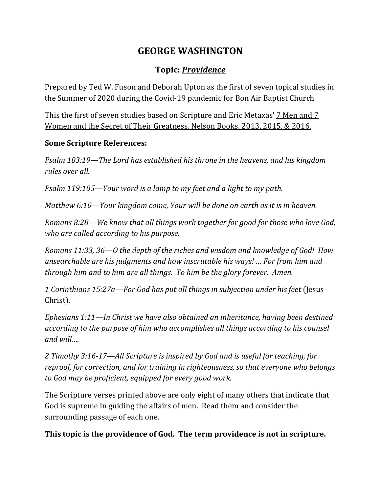# **GEORGE WASHINGTON**

# **Topic:** *<u>Providence</u>*

Prepared by Ted W. Fuson and Deborah Upton as the first of seven topical studies in the Summer of 2020 during the Covid-19 pandemic for Bon Air Baptist Church

This the first of seven studies based on Scripture and Eric Metaxas' 7 Men and 7 Women and the Secret of Their Greatness, Nelson Books, 2013, 2015, & 2016.

## **Some Scripture References:**

*Psalm* 103:19—The Lord has established his throne in the heavens, and his kingdom *rules over all.*

*Psalm* 119:105—Your word is a lamp to my feet and a light to my path.

*Matthew* 6:10—Your kingdom come, Your will be done on earth as it is in heaven.

*Romans* 8:28—We know that all things work together for good for those who love God, *who are called according to his purpose.* 

*Romans* 11:33, 36—O the depth of the riches and wisdom and knowledge of God! How *unsearchable are his judgments and how inscrutable his ways! ... For from him and through him and to him are all things. To him be the glory forever. Amen.* 

1 Corinthians 15:27a—For God has put all things in subjection under his feet (Jesus Christ).

*Ephesians* 1:11—In Christ we have also obtained an inheritance, having been destined *according* to the purpose of him who accomplishes all things according to his counsel *and will….*

2 Timothy 3:16-17—All Scripture is inspired by God and is useful for teaching, for *reproof, for correction, and for training in righteousness, so that everyone who belongs* to God may be proficient, equipped for every good work.

The Scripture verses printed above are only eight of many others that indicate that God is supreme in guiding the affairs of men. Read them and consider the surrounding passage of each one.

**This topic is the providence of God. The term providence is not in scripture.**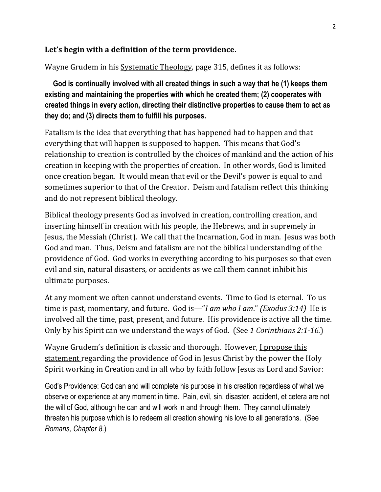### Let's begin with a definition of the term providence.

Wayne Grudem in his Systematic Theology, page 315, defines it as follows:

God is continually involved with all created things in such a way that he (1) keeps them **existing and maintaining the properties with which he created them; (2) cooperates with created things in every action, directing their distinctive properties to cause them to act as they do; and (3) directs them to fulfill his purposes.**

Fatalism is the idea that everything that has happened had to happen and that everything that will happen is supposed to happen. This means that God's relationship to creation is controlled by the choices of mankind and the action of his creation in keeping with the properties of creation. In other words, God is limited once creation began. It would mean that evil or the Devil's power is equal to and sometimes superior to that of the Creator. Deism and fatalism reflect this thinking and do not represent biblical theology.

Biblical theology presents God as involved in creation, controlling creation, and inserting himself in creation with his people, the Hebrews, and in supremely in Jesus, the Messiah (Christ). We call that the Incarnation, God in man. Jesus was both God and man. Thus, Deism and fatalism are not the biblical understanding of the providence of God. God works in everything according to his purposes so that even evil and sin, natural disasters, or accidents as we call them cannot inhibit his ultimate purposes.

At any moment we often cannot understand events. Time to God is eternal. To us time is past, momentary, and future. God is—"*I* am who *I* am." *(Exodus* 3:14) He is involved all the time, past, present, and future. His providence is active all the time. Only by his Spirit can we understand the ways of God. (See 1 *Corinthians 2:1-16.*)

Wayne Grudem's definition is classic and thorough. However, I propose this statement regarding the providence of God in Jesus Christ by the power the Holy Spirit working in Creation and in all who by faith follow Jesus as Lord and Savior:

God's Providence: God can and will complete his purpose in his creation regardless of what we observe or experience at any moment in time. Pain, evil, sin, disaster, accident, et cetera are not the will of God, although he can and will work in and through them. They cannot ultimately threaten his purpose which is to redeem all creation showing his love to all generations. (See *Romans, Chapter 8.*)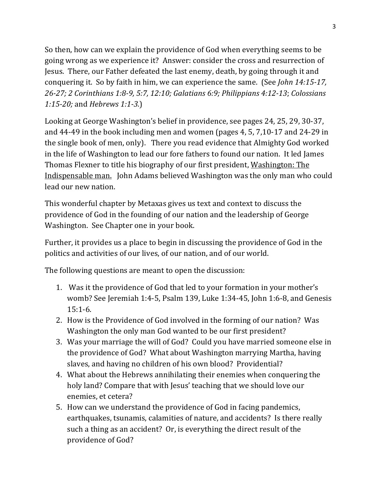So then, how can we explain the providence of God when everything seems to be going wrong as we experience it? Answer: consider the cross and resurrection of Jesus. There, our Father defeated the last enemy, death, by going through it and conquering it. So by faith in him, we can experience the same. (See *John 14:15-17*, *26-27; 2 Corinthians 1:8-9, 5:7, 12:10; Galatians 6:9; Philippians 4:12-13*; *Colossians 1:15-20;* and *Hebrews 1:1-3.*) 

Looking at George Washington's belief in providence, see pages 24, 25, 29, 30-37, and  $44-49$  in the book including men and women (pages  $4, 5, 7, 10-17$  and  $24-29$  in the single book of men, only). There you read evidence that Almighty God worked in the life of Washington to lead our fore fathers to found our nation. It led James Thomas Flexner to title his biography of our first president, Washington: The Indispensable man. John Adams believed Washington was the only man who could lead our new nation.

This wonderful chapter by Metaxas gives us text and context to discuss the providence of God in the founding of our nation and the leadership of George Washington. See Chapter one in your book.

Further, it provides us a place to begin in discussing the providence of God in the politics and activities of our lives, of our nation, and of our world.

The following questions are meant to open the discussion:

- 1. Was it the providence of God that led to your formation in your mother's womb? See Jeremiah 1:4-5, Psalm 139, Luke 1:34-45, John 1:6-8, and Genesis 15:1-6.
- 2. How is the Providence of God involved in the forming of our nation? Was Washington the only man God wanted to be our first president?
- 3. Was your marriage the will of God? Could you have married someone else in the providence of God? What about Washington marrying Martha, having slaves, and having no children of his own blood? Providential?
- 4. What about the Hebrews annihilating their enemies when conquering the holy land? Compare that with Jesus' teaching that we should love our enemies, et cetera?
- 5. How can we understand the providence of God in facing pandemics, earthquakes, tsunamis, calamities of nature, and accidents? Is there really such a thing as an accident? Or, is everything the direct result of the providence of God?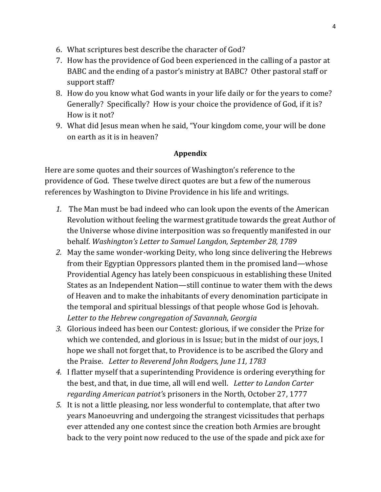- 6. What scriptures best describe the character of God?
- 7. How has the providence of God been experienced in the calling of a pastor at BABC and the ending of a pastor's ministry at BABC? Other pastoral staff or support staff?
- 8. How do you know what God wants in your life daily or for the years to come? Generally? Specifically? How is your choice the providence of God, if it is? How is it not?
- 9. What did Jesus mean when he said, "Your kingdom come, your will be done on earth as it is in heaven?

### **Appendix**

Here are some quotes and their sources of Washington's reference to the providence of God. These twelve direct quotes are but a few of the numerous references by Washington to Divine Providence in his life and writings.

- 1. The Man must be bad indeed who can look upon the events of the American Revolution without feeling the warmest gratitude towards the great Author of the Universe whose divine interposition was so frequently manifested in our behalf. *Washington's Letter to Samuel Langdon, September 28, 1789*
- 2. May the same wonder-working Deity, who long since delivering the Hebrews from their Egyptian Oppressors planted them in the promised land—whose Providential Agency has lately been conspicuous in establishing these United States as an Independent Nation—still continue to water them with the dews of Heaven and to make the inhabitants of every denomination participate in the temporal and spiritual blessings of that people whose God is Jehovah. Letter to the Hebrew congregation of Savannah, Georgia
- 3. Glorious indeed has been our Contest: glorious, if we consider the Prize for which we contended, and glorious in is Issue; but in the midst of our joys, I hope we shall not forget that, to Providence is to be ascribed the Glory and the Praise. Letter to Reverend John Rodgers, June 11, 1783
- 4. I flatter myself that a superintending Providence is ordering everything for the best, and that, in due time, all will end well. Letter to Landon Carter *regarding American patriot's* prisoners in the North, October 27, 1777
- 5. It is not a little pleasing, nor less wonderful to contemplate, that after two years Manoeuvring and undergoing the strangest vicissitudes that perhaps ever attended any one contest since the creation both Armies are brought back to the very point now reduced to the use of the spade and pick axe for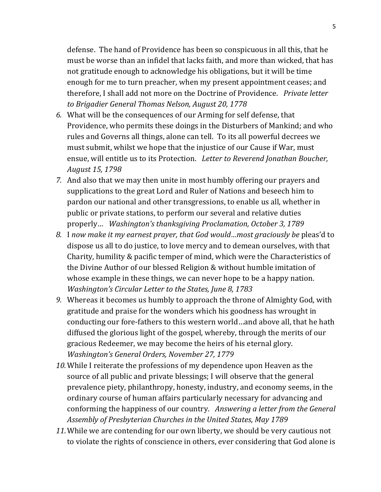defense. The hand of Providence has been so conspicuous in all this, that he must be worse than an infidel that lacks faith, and more than wicked, that has not gratitude enough to acknowledge his obligations, but it will be time enough for me to turn preacher, when my present appointment ceases; and therefore, I shall add not more on the Doctrine of Providence. *Private letter to Brigadier General Thomas Nelson, August 20, 1778*

- 6. What will be the consequences of our Arming for self defense, that Providence, who permits these doings in the Disturbers of Mankind; and who rules and Governs all things, alone can tell. To its all powerful decrees we must submit, whilst we hope that the injustice of our Cause if War, must ensue, will entitle us to its Protection. Letter to Reverend Jonathan Boucher, *August 15, 1798*
- *7.* And also that we may then unite in most humbly offering our prayers and supplications to the great Lord and Ruler of Nations and beseech him to pardon our national and other transgressions, to enable us all, whether in public or private stations, to perform our several and relative duties properly... Washington's thanksgiving Proclamation, October 3, 1789
- 8. I now make it my earnest prayer, that God would...most graciously be pleas'd to dispose us all to do justice, to love mercy and to demean ourselves, with that Charity, humility & pacific temper of mind, which were the Characteristics of the Divine Author of our blessed Religion & without humble imitation of whose example in these things, we can never hope to be a happy nation. *Washington's Circular Letter to the States, June 8, 1783*
- 9. Whereas it becomes us humbly to approach the throne of Almighty God, with gratitude and praise for the wonders which his goodness has wrought in conducting our fore-fathers to this western world...and above all, that he hath diffused the glorious light of the gospel, whereby, through the merits of our gracious Redeemer, we may become the heirs of his eternal glory. *Washington's General Orders, November 27, 1779*
- 10. While I reiterate the professions of my dependence upon Heaven as the source of all public and private blessings; I will observe that the general prevalence piety, philanthropy, honesty, industry, and economy seems, in the ordinary course of human affairs particularly necessary for advancing and conforming the happiness of our country. Answering a letter from the General Assembly of Presbyterian Churches in the United States, May 1789
- 11. While we are contending for our own liberty, we should be very cautious not to violate the rights of conscience in others, ever considering that God alone is